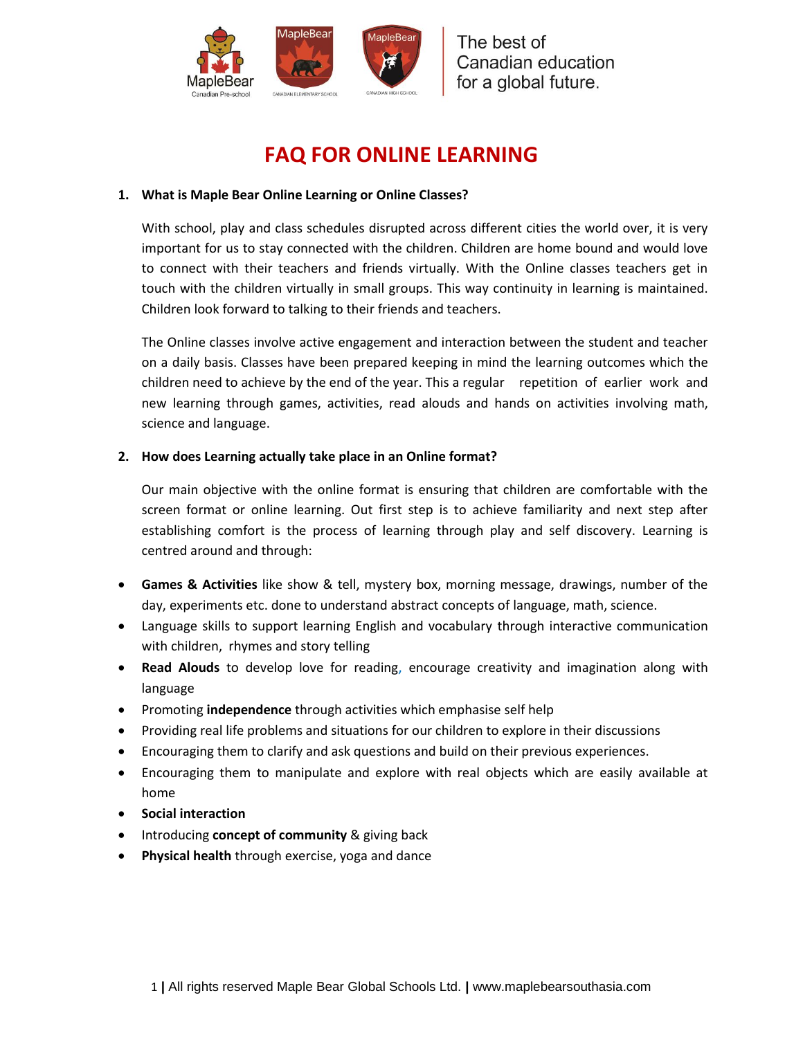

# **FAQ FOR ONLINE LEARNING**

### **1. What is Maple Bear Online Learning or Online Classes?**

With school, play and class schedules disrupted across different cities the world over, it is very important for us to stay connected with the children. Children are home bound and would love to connect with their teachers and friends virtually. With the Online classes teachers get in touch with the children virtually in small groups. This way continuity in learning is maintained. Children look forward to talking to their friends and teachers.

The Online classes involve active engagement and interaction between the student and teacher on a daily basis. Classes have been prepared keeping in mind the learning outcomes which the children need to achieve by the end of the year. This a regular repetition of earlier work and new learning through games, activities, read alouds and hands on activities involving math, science and language.

### **2. How does Learning actually take place in an Online format?**

Our main objective with the online format is ensuring that children are comfortable with the screen format or online learning. Out first step is to achieve familiarity and next step after establishing comfort is the process of learning through play and self discovery. Learning is centred around and through:

- **Games & Activities** like show & tell, mystery box, morning message, drawings, number of the day, experiments etc. done to understand abstract concepts of language, math, science.
- Language skills to support learning English and vocabulary through interactive communication with children, rhymes and story telling
- **Read Alouds** to develop love for reading, encourage creativity and imagination along with language
- **•** Promoting **independence** through activities which emphasise self help
- Providing real life problems and situations for our children to explore in their discussions
- Encouraging them to clarify and ask questions and build on their previous experiences.
- Encouraging them to manipulate and explore with real objects which are easily available at home
- **Social interaction**
- **•** Introducing **concept of community** & giving back
- **Physical health** through exercise, yoga and dance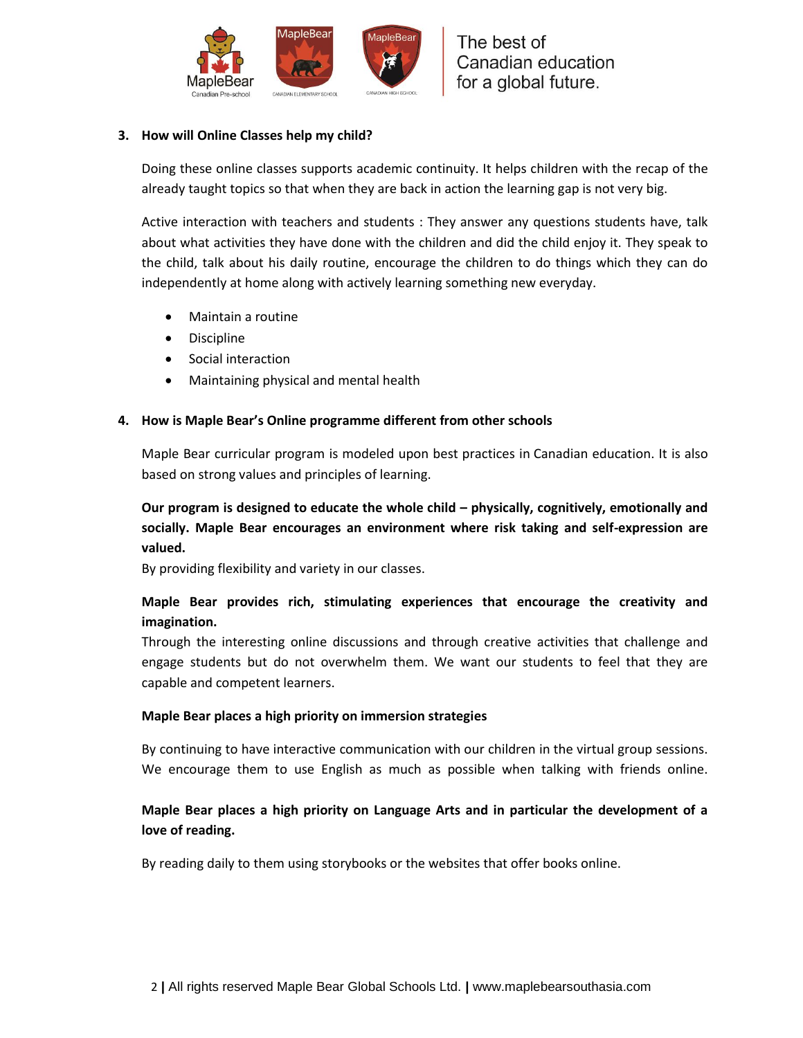

### **3. How will Online Classes help my child?**

Doing these online classes supports academic continuity. It helps children with the recap of the already taught topics so that when they are back in action the learning gap is not very big.

Active interaction with teachers and students : They answer any questions students have, talk about what activities they have done with the children and did the child enjoy it. They speak to the child, talk about his daily routine, encourage the children to do things which they can do independently at home along with actively learning something new everyday.

- Maintain a routine
- Discipline
- Social interaction
- Maintaining physical and mental health

### **4. How is Maple Bear's Online programme different from other schools**

Maple Bear curricular program is modeled upon best practices in Canadian education. It is also based on strong values and principles of learning.

**Our program is designed to educate the whole child – physically, cognitively, emotionally and socially. Maple Bear encourages an environment where risk taking and self-expression are valued.** 

By providing flexibility and variety in our classes.

# **Maple Bear provides rich, stimulating experiences that encourage the creativity and imagination.**

Through the interesting online discussions and through creative activities that challenge and engage students but do not overwhelm them. We want our students to feel that they are capable and competent learners.

### **Maple Bear places a high priority on immersion strategies**

By continuing to have interactive communication with our children in the virtual group sessions. We encourage them to use English as much as possible when talking with friends online.

# **Maple Bear places a high priority on Language Arts and in particular the development of a love of reading.**

By reading daily to them using storybooks or the websites that offer books online.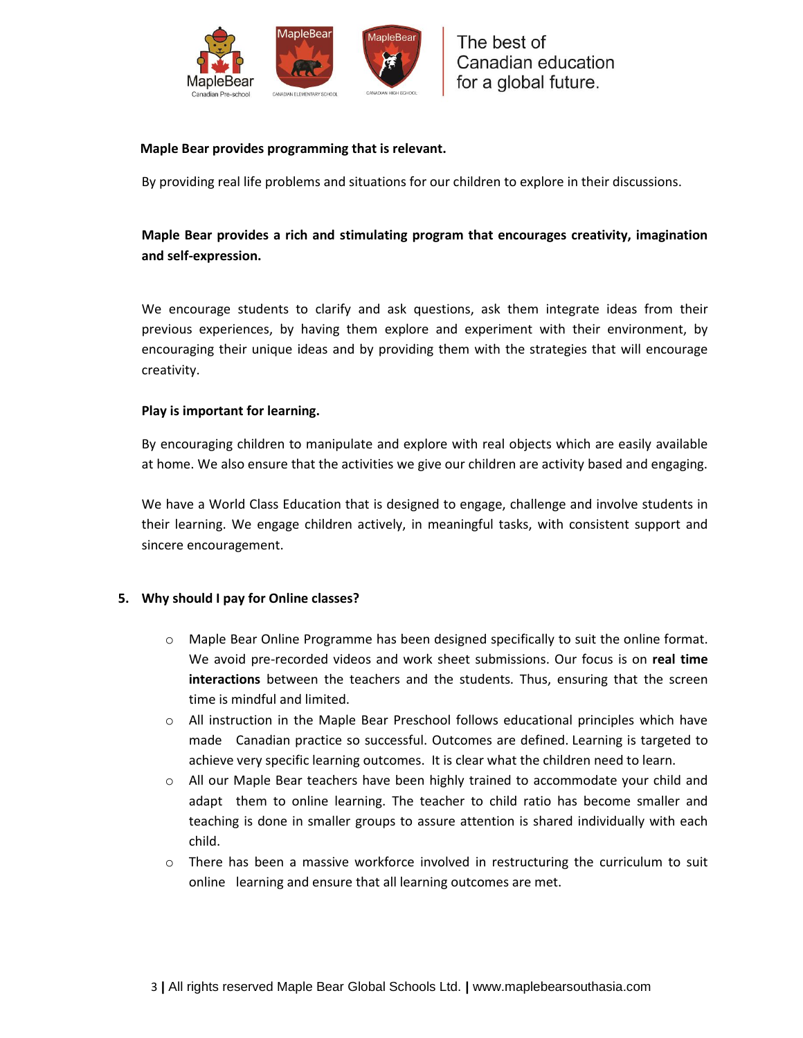

### **Maple Bear provides programming that is relevant.**

By providing real life problems and situations for our children to explore in their discussions.

# **Maple Bear provides a rich and stimulating program that encourages creativity, imagination and self-expression.**

We encourage students to clarify and ask questions, ask them integrate ideas from their previous experiences, by having them explore and experiment with their environment, by encouraging their unique ideas and by providing them with the strategies that will encourage creativity.

### **Play is important for learning.**

By encouraging children to manipulate and explore with real objects which are easily available at home. We also ensure that the activities we give our children are activity based and engaging.

We have a World Class Education that is designed to engage, challenge and involve students in their learning. We engage children actively, in meaningful tasks, with consistent support and sincere encouragement.

### **5. Why should I pay for Online classes?**

- $\circ$  Maple Bear Online Programme has been designed specifically to suit the online format. We avoid pre-recorded videos and work sheet submissions. Our focus is on **real time interactions** between the teachers and the students. Thus, ensuring that the screen time is mindful and limited.
- o All instruction in the Maple Bear Preschool follows educational principles which have made Canadian practice so successful. Outcomes are defined. Learning is targeted to achieve very specific learning outcomes. It is clear what the children need to learn.
- $\circ$  All our Maple Bear teachers have been highly trained to accommodate your child and adapt them to online learning. The teacher to child ratio has become smaller and teaching is done in smaller groups to assure attention is shared individually with each child.
- $\circ$  There has been a massive workforce involved in restructuring the curriculum to suit online learning and ensure that all learning outcomes are met.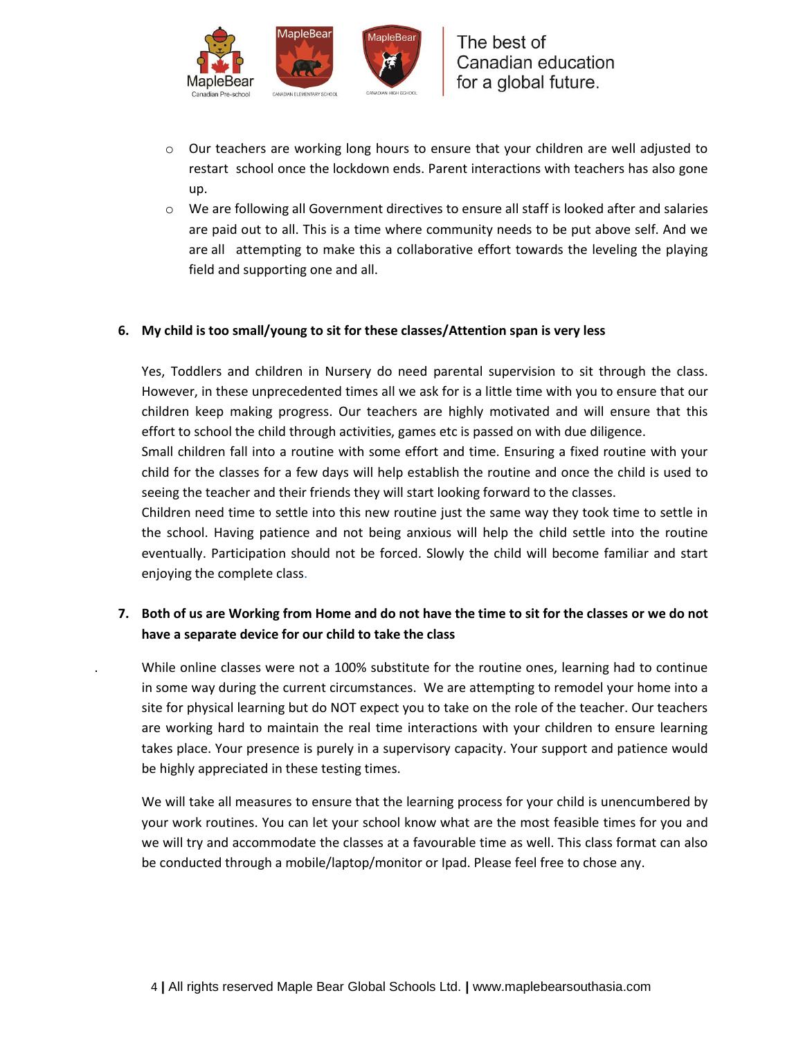

- o Our teachers are working long hours to ensure that your children are well adjusted to restart school once the lockdown ends. Parent interactions with teachers has also gone up.
- $\circ$  We are following all Government directives to ensure all staff is looked after and salaries are paid out to all. This is a time where community needs to be put above self. And we are all attempting to make this a collaborative effort towards the leveling the playing field and supporting one and all.

### **6. My child is too small/young to sit for these classes/Attention span is very less**

Yes, Toddlers and children in Nursery do need parental supervision to sit through the class. However, in these unprecedented times all we ask for is a little time with you to ensure that our children keep making progress. Our teachers are highly motivated and will ensure that this effort to school the child through activities, games etc is passed on with due diligence.

Small children fall into a routine with some effort and time. Ensuring a fixed routine with your child for the classes for a few days will help establish the routine and once the child is used to seeing the teacher and their friends they will start looking forward to the classes.

Children need time to settle into this new routine just the same way they took time to settle in the school. Having patience and not being anxious will help the child settle into the routine eventually. Participation should not be forced. Slowly the child will become familiar and start enjoying the complete class.

# **7. Both of us are Working from Home and do not have the time to sit for the classes or we do not have a separate device for our child to take the class**

. While online classes were not a 100% substitute for the routine ones, learning had to continue in some way during the current circumstances. We are attempting to remodel your home into a site for physical learning but do NOT expect you to take on the role of the teacher. Our teachers are working hard to maintain the real time interactions with your children to ensure learning takes place. Your presence is purely in a supervisory capacity. Your support and patience would be highly appreciated in these testing times.

We will take all measures to ensure that the learning process for your child is unencumbered by your work routines. You can let your school know what are the most feasible times for you and we will try and accommodate the classes at a favourable time as well. This class format can also be conducted through a mobile/laptop/monitor or Ipad. Please feel free to chose any.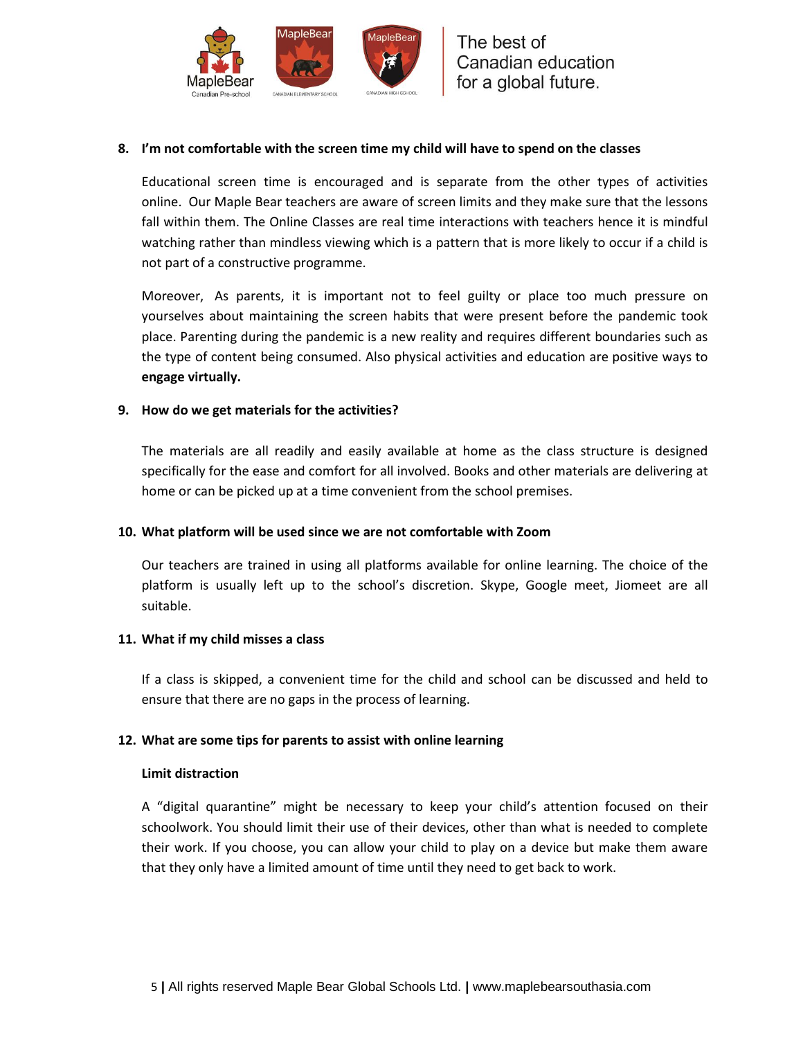

### **8. I'm not comfortable with the screen time my child will have to spend on the classes**

Educational screen time is encouraged and is separate from the other types of activities online. Our Maple Bear teachers are aware of screen limits and they make sure that the lessons fall within them. The Online Classes are real time interactions with teachers hence it is mindful watching rather than mindless viewing which is a pattern that is more likely to occur if a child is not part of a constructive programme.

Moreover, As parents, it is important not to feel guilty or place too much pressure on yourselves about maintaining the screen habits that were present before the pandemic took place. Parenting during the pandemic is a new reality and requires different boundaries such as the type of content being consumed. Also physical activities and education are positive ways to **engage virtually.**

### **9. How do we get materials for the activities?**

The materials are all readily and easily available at home as the class structure is designed specifically for the ease and comfort for all involved. Books and other materials are delivering at home or can be picked up at a time convenient from the school premises.

### **10. What platform will be used since we are not comfortable with Zoom**

Our teachers are trained in using all platforms available for online learning. The choice of the platform is usually left up to the school's discretion. Skype, Google meet, Jiomeet are all suitable.

### **11. What if my child misses a class**

If a class is skipped, a convenient time for the child and school can be discussed and held to ensure that there are no gaps in the process of learning.

### **12. What are some tips for parents to assist with online learning**

### **[Limit distraction](https://www.theladders.com/career-advice/ive-been-working-from-home-for-nearly-a-decade-here-are-my-top-9-productivity-hacks-to-stay-organized-and-avoid-distractions)**

A "digital quarantine" might be necessary to keep your child's attention focused on their schoolwork. You should limit their use of their devices, other than what is needed to complete their work. If you choose, you can allow your child to play on a device but make them aware that they only have a limited amount of time until they need to get back to work.